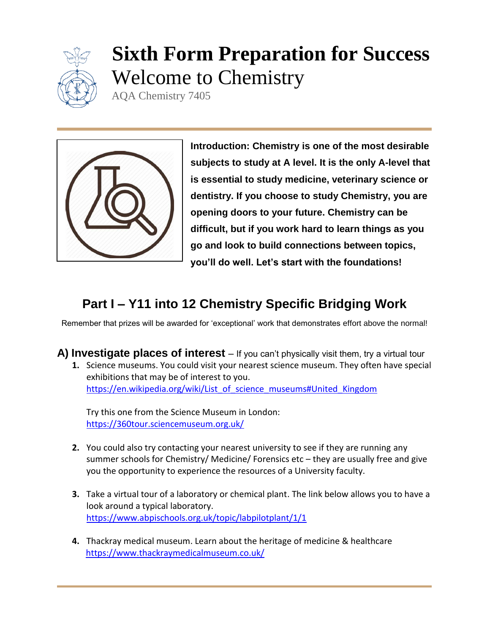

# **Sixth Form Preparation for Success** Welcome to Chemistry

AQA Chemistry 7405



**Introduction: Chemistry is one of the most desirable subjects to study at A level. It is the only A-level that is essential to study medicine, veterinary science or dentistry. If you choose to study Chemistry, you are opening doors to your future. Chemistry can be difficult, but if you work hard to learn things as you go and look to build connections between topics, you'll do well. Let's start with the foundations!**

# **Part I – Y11 into 12 Chemistry Specific Bridging Work**

Remember that prizes will be awarded for 'exceptional' work that demonstrates effort above the normal!

**A) Investigate places of interest** – If you can't physically visit them, try a virtual tour **1.** Science museums. You could visit your nearest science museum. They often have special exhibitions that may be of interest to you. [https://en.wikipedia.org/wiki/List\\_of\\_science\\_museums#United\\_Kingdom](https://en.wikipedia.org/wiki/List_of_science_museums#United_Kingdom)

Try this one from the Science Museum in London: <https://360tour.sciencemuseum.org.uk/>

- **2.** You could also try contacting your nearest university to see if they are running any summer schools for Chemistry/ Medicine/ Forensics etc – they are usually free and give you the opportunity to experience the resources of a University faculty.
- **3.** Take a virtual tour of a laboratory or chemical plant. The link below allows you to have a look around a typical laboratory. <https://www.abpischools.org.uk/topic/labpilotplant/1/1>
- **4.** Thackray medical museum. Learn about the heritage of medicine & healthcare <https://www.thackraymedicalmuseum.co.uk/>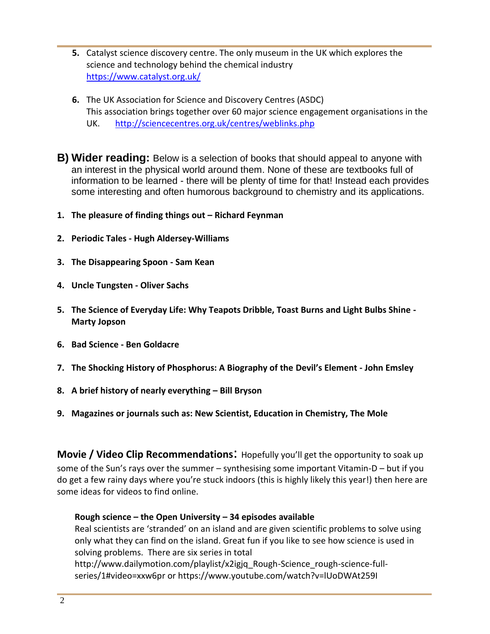- **5.** Catalyst science discovery centre. The only museum in the UK which explores the science and technology behind the chemical industry <https://www.catalyst.org.uk/>
- **6.** The UK Association for Science and Discovery Centres (ASDC) This association brings together over 60 major science engagement organisations in the UK. <http://sciencecentres.org.uk/centres/weblinks.php>
- **B) Wider reading:** Below is a selection of books that should appeal to anyone with an interest in the physical world around them. None of these are textbooks full of information to be learned - there will be plenty of time for that! Instead each provides some interesting and often humorous background to chemistry and its applications.
- **1. The pleasure of finding things out – Richard Feynman**
- **2. Periodic Tales - Hugh Aldersey-Williams**
- **3. The Disappearing Spoon - Sam Kean**
- **4. Uncle Tungsten - Oliver Sachs**
- **5. The Science of Everyday Life: Why Teapots Dribble, Toast Burns and Light Bulbs Shine - Marty Jopson**
- **6. Bad Science - Ben Goldacre**
- **7. The Shocking History of Phosphorus: A Biography of the Devil's Element - John Emsley**
- **8. A brief history of nearly everything – Bill Bryson**
- **9. Magazines or journals such as: New Scientist, Education in Chemistry, The Mole**

**Movie / Video Clip Recommendations**: Hopefully you'll get the opportunity to soak up some of the Sun's rays over the summer – synthesising some important Vitamin-D – but if you do get a few rainy days where you're stuck indoors (this is highly likely this year!) then here are some ideas for videos to find online.

#### **Rough science – the Open University – 34 episodes available**

Real scientists are 'stranded' on an island and are given scientific problems to solve using only what they can find on the island. Great fun if you like to see how science is used in solving problems. There are six series in total

http://www.dailymotion.com/playlist/x2igjq\_Rough-Science\_rough-science-fullseries/1#video=xxw6pr or https://www.youtube.com/watch?v=lUoDWAt259I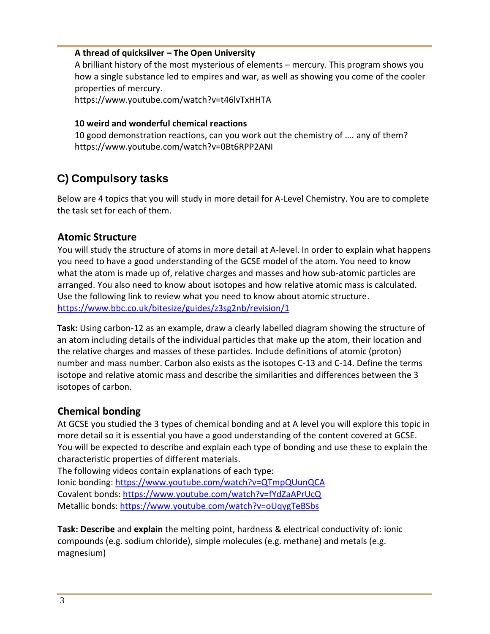#### **A thread of quicksilver – The Open University**

A brilliant history of the most mysterious of elements – mercury. This program shows you how a single substance led to empires and war, as well as showing you come of the cooler properties of mercury.

https://www.youtube.com/watch?v=t46lvTxHHTA

#### **10 weird and wonderful chemical reactions**

10 good demonstration reactions, can you work out the chemistry of …. any of them? https://www.youtube.com/watch?v=0Bt6RPP2ANI

## **C) Compulsory tasks**

Below are 4 topics that you will study in more detail for A-Level Chemistry. You are to complete the task set for each of them.

#### **Atomic Structure**

You will study the structure of atoms in more detail at A-level. In order to explain what happens you need to have a good understanding of the GCSE model of the atom. You need to know what the atom is made up of, relative charges and masses and how sub-atomic particles are arranged. You also need to know about isotopes and how relative atomic mass is calculated. Use the following link to review what you need to know about atomic structure. <https://www.bbc.co.uk/bitesize/guides/z3sg2nb/revision/1>

**Task:** Using carbon-12 as an example, draw a clearly labelled diagram showing the structure of an atom including details of the individual particles that make up the atom, their location and the relative charges and masses of these particles. Include definitions of atomic (proton) number and mass number. Carbon also exists as the isotopes C-13 and C-14. Define the terms isotope and relative atomic mass and describe the similarities and differences between the 3 isotopes of carbon.

#### **Chemical bonding**

At GCSE you studied the 3 types of chemical bonding and at A level you will explore this topic in more detail so it is essential you have a good understanding of the content covered at GCSE. You will be expected to describe and explain each type of bonding and use these to explain the characteristic properties of different materials.

The following videos contain explanations of each type:

Ionic bonding:<https://www.youtube.com/watch?v=QTmpQUunQCA> Covalent bonds:<https://www.youtube.com/watch?v=fYdZaAPrUcQ> Metallic bonds:<https://www.youtube.com/watch?v=oUqygTeBSbs>

**Task: Describe** and **explain** the melting point, hardness & electrical conductivity of: ionic compounds (e.g. sodium chloride), simple molecules (e.g. methane) and metals (e.g. magnesium)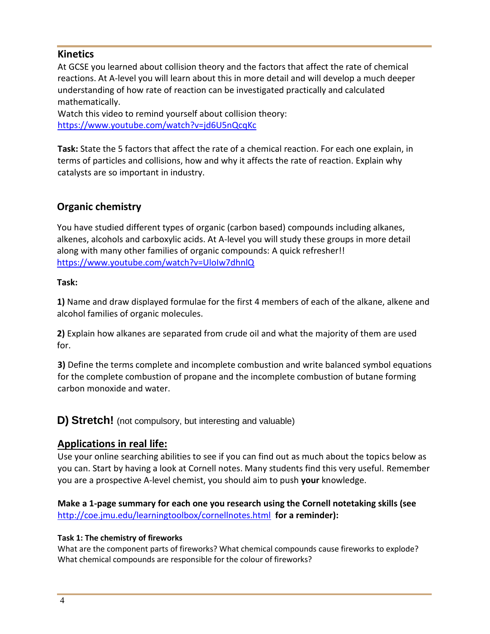### **Kinetics**

At GCSE you learned about collision theory and the factors that affect the rate of chemical reactions. At A-level you will learn about this in more detail and will develop a much deeper understanding of how rate of reaction can be investigated practically and calculated mathematically.

Watch this video to remind yourself about collision theory: <https://www.youtube.com/watch?v=jd6U5nQcqKc>

**Task:** State the 5 factors that affect the rate of a chemical reaction. For each one explain, in terms of particles and collisions, how and why it affects the rate of reaction. Explain why catalysts are so important in industry.

## **Organic chemistry**

You have studied different types of organic (carbon based) compounds including alkanes, alkenes, alcohols and carboxylic acids. At A-level you will study these groups in more detail along with many other families of organic compounds: A quick refresher!! <https://www.youtube.com/watch?v=UloIw7dhnlQ>

#### **Task:**

**1)** Name and draw displayed formulae for the first 4 members of each of the alkane, alkene and alcohol families of organic molecules.

**2)** Explain how alkanes are separated from crude oil and what the majority of them are used for.

**3)** Define the terms complete and incomplete combustion and write balanced symbol equations for the complete combustion of propane and the incomplete combustion of butane forming carbon monoxide and water.

**D) Stretch!** (not compulsory, but interesting and valuable)

## **Applications in real life:**

Use your online searching abilities to see if you can find out as much about the topics below as you can. Start by having a look at Cornell notes. Many students find this very useful. Remember you are a prospective A-level chemist, you should aim to push **your** knowledge.

**Make a 1-page summary for each one you research using the Cornell notetaking skills (see**  <http://coe.jmu.edu/learningtoolbox/cornellnotes.html>**for a reminder):**

#### **Task 1: The chemistry of fireworks**

What are the component parts of fireworks? What chemical compounds cause fireworks to explode? What chemical compounds are responsible for the colour of fireworks?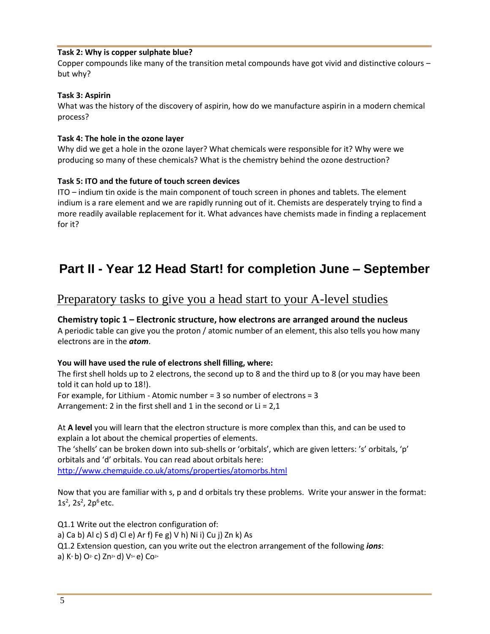#### **Task 2: Why is copper sulphate blue?**

Copper compounds like many of the transition metal compounds have got vivid and distinctive colours – but why?

#### **Task 3: Aspirin**

What was the history of the discovery of aspirin, how do we manufacture aspirin in a modern chemical process?

#### **Task 4: The hole in the ozone layer**

Why did we get a hole in the ozone layer? What chemicals were responsible for it? Why were we producing so many of these chemicals? What is the chemistry behind the ozone destruction?

#### **Task 5: ITO and the future of touch screen devices**

ITO – indium tin oxide is the main component of touch screen in phones and tablets. The element indium is a rare element and we are rapidly running out of it. Chemists are desperately trying to find a more readily available replacement for it. What advances have chemists made in finding a replacement for it?

## **Part II - Year 12 Head Start! for completion June – September**

## Preparatory tasks to give you a head start to your A-level studies

#### **Chemistry topic 1 – Electronic structure, how electrons are arranged around the nucleus**

A periodic table can give you the proton / atomic number of an element, this also tells you how many electrons are in the *atom*.

#### **You will have used the rule of electrons shell filling, where:**

The first shell holds up to 2 electrons, the second up to 8 and the third up to 8 (or you may have been told it can hold up to 18!).

For example, for Lithium - Atomic number = 3 so number of electrons = 3 Arrangement: 2 in the first shell and 1 in the second or  $Li = 2.1$ 

At **A level** you will learn that the electron structure is more complex than this, and can be used to explain a lot about the chemical properties of elements.

The 'shells' can be broken down into sub-shells or 'orbitals', which are given letters: 's' orbitals, 'p' orbitals and 'd' orbitals. You can read about orbitals here:

<http://www.chemguide.co.uk/atoms/properties/atomorbs.html>

Now that you are familiar with s, p and d orbitals try these problems. Write your answer in the format: 1s<sup>2</sup>, 2s<sup>2</sup>, 2p<sup>6</sup> etc.

Q1.1 Write out the electron configuration of: a) Ca b) Al c) S d) Cl e) Ar f) Fe g) V h) Ni i) Cu j) Zn k) As Q1.2 Extension question, can you write out the electron arrangement of the following *ions*: a) K+b) O<sup>2</sup>-c) Zn<sup>2+</sup> d) V<sup>5+</sup> e) Co<sup>2+</sup>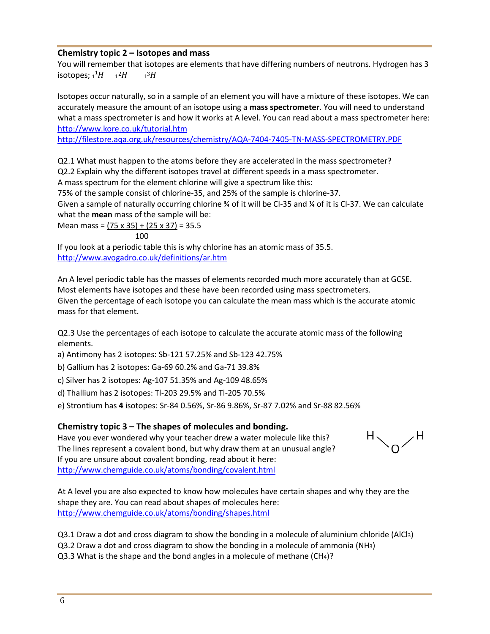#### **Chemistry topic 2 – Isotopes and mass**

You will remember that isotopes are elements that have differing numbers of neutrons. Hydrogen has 3 isotopes;  ${}_{1}{}^{1}H$   ${}_{1}{}^{2}H$   ${}_{1}$  $13H$ 

Isotopes occur naturally, so in a sample of an element you will have a mixture of these isotopes. We can accurately measure the amount of an isotope using a **mass spectrometer**. You will need to understand what a mass spectrometer is and how it works at A level. You can read about a mass spectrometer here: <http://www.kore.co.uk/tutorial.htm>

<http://filestore.aqa.org.uk/resources/chemistry/AQA-7404-7405-TN-MASS-SPECTROMETRY.PDF>

Q2.1 What must happen to the atoms before they are accelerated in the mass spectrometer? Q2.2 Explain why the different isotopes travel at different speeds in a mass spectrometer.

A mass spectrum for the element chlorine will give a spectrum like this:

75% of the sample consist of chlorine-35, and 25% of the sample is chlorine-37.

Given a sample of naturally occurring chlorine ¾ of it will be Cl-35 and ¼ of it is Cl-37. We can calculate what the **mean** mass of the sample will be:

Mean mass = (75 x 35) + (25 x 37) = 35.5 100

If you look at a periodic table this is why chlorine has an atomic mass of 35.5. <http://www.avogadro.co.uk/definitions/ar.htm>

An A level periodic table has the masses of elements recorded much more accurately than at GCSE. Most elements have isotopes and these have been recorded using mass spectrometers. Given the percentage of each isotope you can calculate the mean mass which is the accurate atomic mass for that element.

Q2.3 Use the percentages of each isotope to calculate the accurate atomic mass of the following elements.

a) Antimony has 2 isotopes: Sb-121 57.25% and Sb-123 42.75%

b) Gallium has 2 isotopes: Ga-69 60.2% and Ga-71 39.8%

c) Silver has 2 isotopes: Ag-107 51.35% and Ag-109 48.65%

d) Thallium has 2 isotopes: Tl-203 29.5% and Tl-205 70.5%

e) Strontium has **4** isotopes: Sr-84 0.56%, Sr-86 9.86%, Sr-87 7.02% and Sr-88 82.56%

#### **Chemistry topic 3 – The shapes of molecules and bonding.**

Have you ever wondered why your teacher drew a water molecule like this? The lines represent a covalent bond, but why draw them at an unusual angle? If you are unsure about covalent bonding, read about it here: <http://www.chemguide.co.uk/atoms/bonding/covalent.html>



At A level you are also expected to know how molecules have certain shapes and why they are the shape they are. You can read about shapes of molecules here: <http://www.chemguide.co.uk/atoms/bonding/shapes.html>

Q3.1 Draw a dot and cross diagram to show the bonding in a molecule of aluminium chloride (AlCl3) Q3.2 Draw a dot and cross diagram to show the bonding in a molecule of ammonia (NH3) Q3.3 What is the shape and the bond angles in a molecule of methane (CH4)?